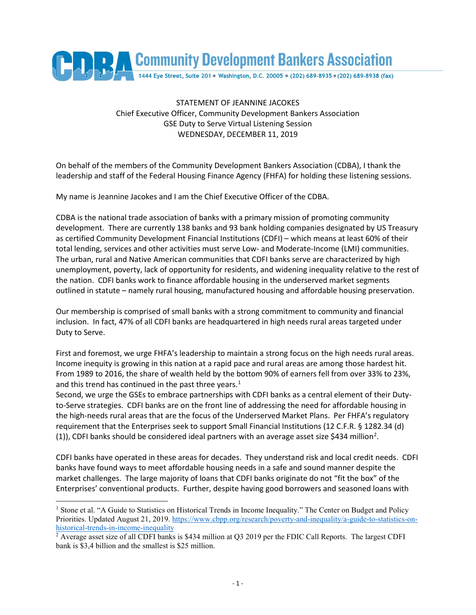

## STATEMENT OF JEANNINE JACOKES Chief Executive Officer, Community Development Bankers Association GSE Duty to Serve Virtual Listening Session WEDNESDAY, DECEMBER 11, 2019

On behalf of the members of the Community Development Bankers Association (CDBA), I thank the leadership and staff of the Federal Housing Finance Agency (FHFA) for holding these listening sessions.

My name is Jeannine Jacokes and I am the Chief Executive Officer of the CDBA.

CDBA is the national trade association of banks with a primary mission of promoting community development. There are currently 138 banks and 93 bank holding companies designated by US Treasury as certified Community Development Financial Institutions (CDFI) – which means at least 60% of their total lending, services and other activities must serve Low- and Moderate-Income (LMI) communities. The urban, rural and Native American communities that CDFI banks serve are characterized by high unemployment, poverty, lack of opportunity for residents, and widening inequality relative to the rest of the nation. CDFI banks work to finance affordable housing in the underserved market segments outlined in statute – namely rural housing, manufactured housing and affordable housing preservation.

Our membership is comprised of small banks with a strong commitment to community and financial inclusion. In fact, 47% of all CDFI banks are headquartered in high needs rural areas targeted under Duty to Serve.

First and foremost, we urge FHFA's leadership to maintain a strong focus on the high needs rural areas. Income inequity is growing in this nation at a rapid pace and rural areas are among those hardest hit. From 1989 to 2016, the share of wealth held by the bottom 90% of earners fell from over 33% to 23%, and this trend has continued in the past three years. $<sup>1</sup>$  $<sup>1</sup>$  $<sup>1</sup>$ </sup>

Second, we urge the GSEs to embrace partnerships with CDFI banks as a central element of their Dutyto-Serve strategies. CDFI banks are on the front line of addressing the need for affordable housing in the high-needs rural areas that are the focus of the Underserved Market Plans. Per FHFA's regulatory requirement that the Enterprises seek to support Small Financial Institutions (12 C.F.R. § 1282.34 (d) (1)), CDFI banks should be considered ideal partners with an average asset size \$434 million<sup>[2](#page-0-1)</sup>.

CDFI banks have operated in these areas for decades. They understand risk and local credit needs. CDFI banks have found ways to meet affordable housing needs in a safe and sound manner despite the market challenges. The large majority of loans that CDFI banks originate do not "fit the box" of the Enterprises' conventional products. Further, despite having good borrowers and seasoned loans with

<span id="page-0-0"></span><sup>&</sup>lt;sup>1</sup> Stone et al. "A Guide to Statistics on Historical Trends in Income Inequality." The Center on Budget and Policy Priorities. Updated August 21, 2019. [https://www.cbpp.org/research/poverty-and-inequality/a-guide-to-statistics-on](https://www.cbpp.org/research/poverty-and-inequality/a-guide-to-statistics-on-historical-trends-in-income-inequality)[historical-trends-in-income-inequality](https://www.cbpp.org/research/poverty-and-inequality/a-guide-to-statistics-on-historical-trends-in-income-inequality)

<span id="page-0-1"></span><sup>&</sup>lt;sup>2</sup> Average asset size of all CDFI banks is \$434 million at Q3 2019 per the FDIC Call Reports. The largest CDFI bank is \$3,4 billion and the smallest is \$25 million.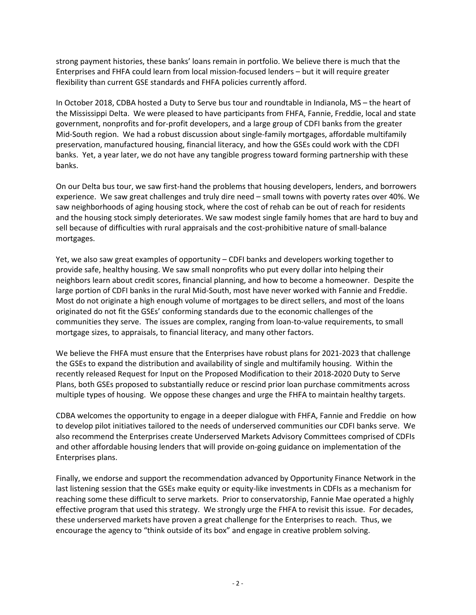strong payment histories, these banks' loans remain in portfolio. We believe there is much that the Enterprises and FHFA could learn from local mission-focused lenders – but it will require greater flexibility than current GSE standards and FHFA policies currently afford.

In October 2018, CDBA hosted a Duty to Serve bus tour and roundtable in Indianola, MS – the heart of the Mississippi Delta. We were pleased to have participants from FHFA, Fannie, Freddie, local and state government, nonprofits and for-profit developers, and a large group of CDFI banks from the greater Mid-South region. We had a robust discussion about single-family mortgages, affordable multifamily preservation, manufactured housing, financial literacy, and how the GSEs could work with the CDFI banks. Yet, a year later, we do not have any tangible progress toward forming partnership with these banks.

On our Delta bus tour, we saw first-hand the problems that housing developers, lenders, and borrowers experience. We saw great challenges and truly dire need – small towns with poverty rates over 40%. We saw neighborhoods of aging housing stock, where the cost of rehab can be out of reach for residents and the housing stock simply deteriorates. We saw modest single family homes that are hard to buy and sell because of difficulties with rural appraisals and the cost-prohibitive nature of small-balance mortgages.

Yet, we also saw great examples of opportunity – CDFI banks and developers working together to provide safe, healthy housing. We saw small nonprofits who put every dollar into helping their neighbors learn about credit scores, financial planning, and how to become a homeowner. Despite the large portion of CDFI banks in the rural Mid-South, most have never worked with Fannie and Freddie. Most do not originate a high enough volume of mortgages to be direct sellers, and most of the loans originated do not fit the GSEs' conforming standards due to the economic challenges of the communities they serve. The issues are complex, ranging from loan-to-value requirements, to small mortgage sizes, to appraisals, to financial literacy, and many other factors.

We believe the FHFA must ensure that the Enterprises have robust plans for 2021-2023 that challenge the GSEs to expand the distribution and availability of single and multifamily housing. Within the recently released Request for Input on the Proposed Modification to their 2018-2020 Duty to Serve Plans, both GSEs proposed to substantially reduce or rescind prior loan purchase commitments across multiple types of housing. We oppose these changes and urge the FHFA to maintain healthy targets.

CDBA welcomes the opportunity to engage in a deeper dialogue with FHFA, Fannie and Freddie on how to develop pilot initiatives tailored to the needs of underserved communities our CDFI banks serve. We also recommend the Enterprises create Underserved Markets Advisory Committees comprised of CDFIs and other affordable housing lenders that will provide on-going guidance on implementation of the Enterprises plans.

Finally, we endorse and support the recommendation advanced by Opportunity Finance Network in the last listening session that the GSEs make equity or equity-like investments in CDFIs as a mechanism for reaching some these difficult to serve markets. Prior to conservatorship, Fannie Mae operated a highly effective program that used this strategy. We strongly urge the FHFA to revisit this issue. For decades, these underserved markets have proven a great challenge for the Enterprises to reach. Thus, we encourage the agency to "think outside of its box" and engage in creative problem solving.